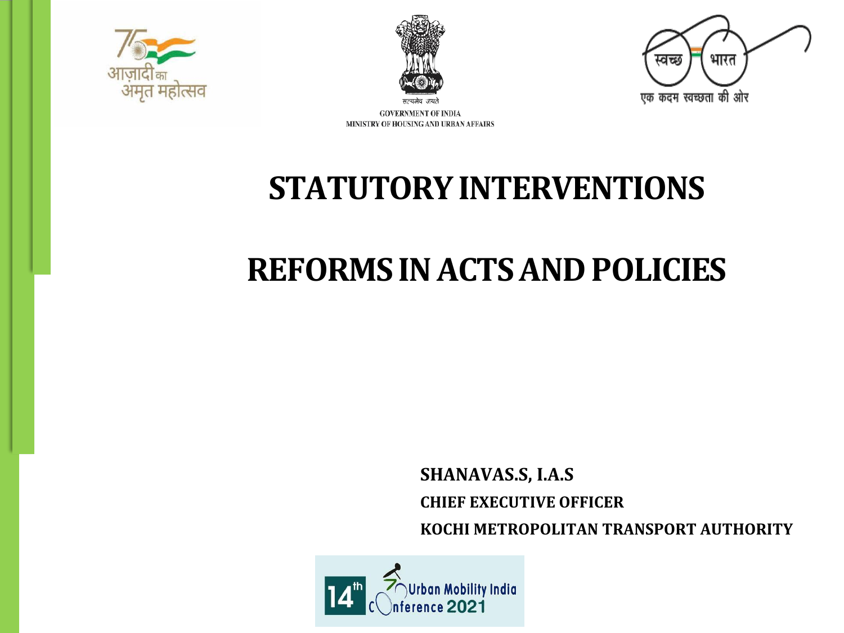





**GOVERNMENT OF INDIA** MINISTRY OF HOUSING AND URBAN AFFAIRS

# **STATUTORY INTERVENTIONS**

# **REFORMS IN ACTS AND POLICIES**

**SHANAVAS.S, I.A.S CHIEF EXECUTIVE OFFICER KOCHI METROPOLITAN TRANSPORT AUTHORITY**

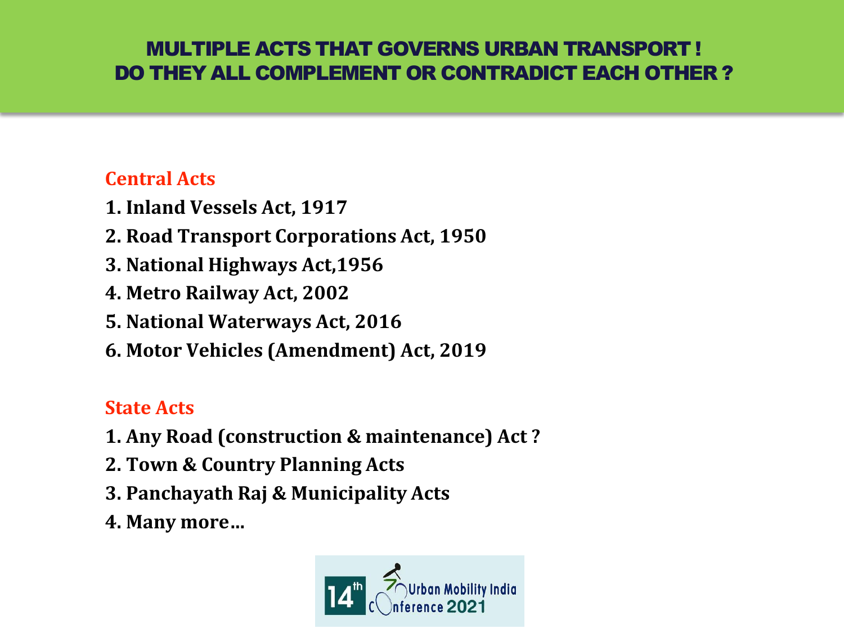### MULTIPLE ACTS THAT GOVERNS URBAN TRANSPORT ! DO THEY ALL COMPLEMENT OR CONTRADICT EACH OTHER ?

### **Central Acts**

- **1. Inland Vessels Act, 1917**
- **2. Road Transport Corporations Act, 1950**
- **3. National Highways Act,1956**
- **4. Metro Railway Act, 2002**
- **5. National Waterways Act, 2016**
- **6. Motor Vehicles (Amendment) Act, 2019**

## **State Acts**

- **1. Any Road (construction & maintenance) Act ?**
- **2. Town & Country Planning Acts**
- **3. Panchayath Raj & Municipality Acts**
- **4. Many more…**

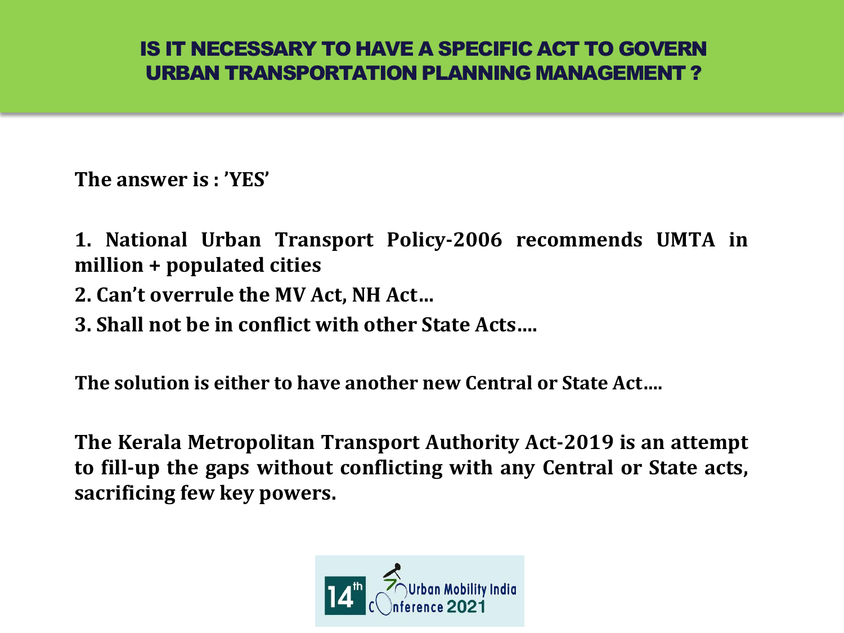### IS IT NECESSARY TO HAVE A SPECIFIC ACT TO GOVERN URBAN TRANSPORTATION PLANNING MANAGEMENT ?

**The answer is : 'YES'**

**1. National Urban Transport Policy-2006 recommends UMTA in million + populated cities**

- **2. Can't overrule the MV Act, NH Act…**
- **3. Shall not be in conflict with other State Acts….**

**The solution is either to have another new Central or State Act….**

**The Kerala Metropolitan Transport Authority Act-2019 is an attempt to fill-up the gaps without conflicting with any Central or State acts, sacrificing few key powers.**

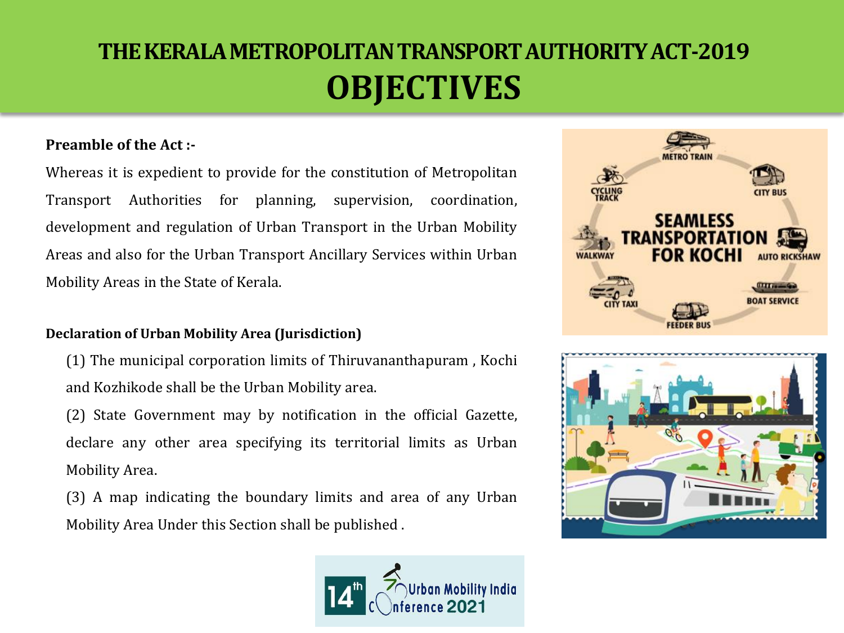## **THE KERALA METROPOLITAN TRANSPORT AUTHORITY ACT-2019 OBJECTIVES**

#### **Preamble of the Act :-**

Whereas it is expedient to provide for the constitution of Metropolitan Transport Authorities for planning, supervision, coordination, development and regulation of Urban Transport in the Urban Mobility Areas and also for the Urban Transport Ancillary Services within Urban Mobility Areas in the State of Kerala.

#### **Declaration of Urban Mobility Area (Jurisdiction)**

 $(1)$  The municipal corporation limits of Thiruvananthapuram, Kochi and Kozhikode shall be the Urban Mobility area.

(2) State Government may by notification in the official Gazette, declare any other area specifying its territorial limits as Urban Mobility Area.

(3) A map indicating the boundary limits and area of any Urban Mobility Area Under this Section shall be published .





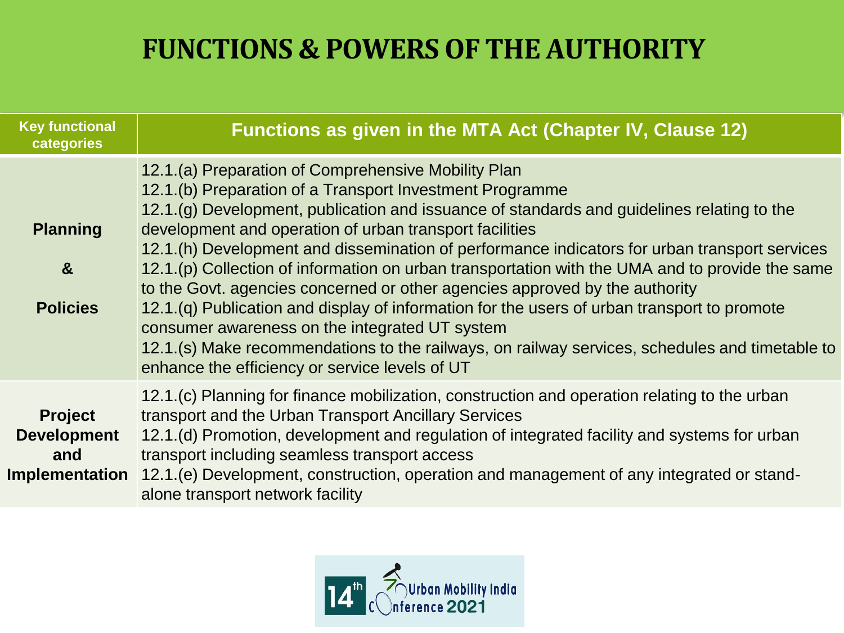## **FUNCTIONS & POWERS OF THE AUTHORITY**

| <b>Key functional</b><br>categories                                  | Functions as given in the MTA Act (Chapter IV, Clause 12)                                                                                                                                                                                                                                                                                                                                                                                                                                                                                                                                                                                                                                                                                                                                                                                                        |
|----------------------------------------------------------------------|------------------------------------------------------------------------------------------------------------------------------------------------------------------------------------------------------------------------------------------------------------------------------------------------------------------------------------------------------------------------------------------------------------------------------------------------------------------------------------------------------------------------------------------------------------------------------------------------------------------------------------------------------------------------------------------------------------------------------------------------------------------------------------------------------------------------------------------------------------------|
| <b>Planning</b><br>$\boldsymbol{\alpha}$<br><b>Policies</b>          | 12.1.(a) Preparation of Comprehensive Mobility Plan<br>12.1.(b) Preparation of a Transport Investment Programme<br>12.1.(g) Development, publication and issuance of standards and guidelines relating to the<br>development and operation of urban transport facilities<br>12.1.(h) Development and dissemination of performance indicators for urban transport services<br>12.1.(p) Collection of information on urban transportation with the UMA and to provide the same<br>to the Govt. agencies concerned or other agencies approved by the authority<br>12.1.(q) Publication and display of information for the users of urban transport to promote<br>consumer awareness on the integrated UT system<br>12.1.(s) Make recommendations to the railways, on railway services, schedules and timetable to<br>enhance the efficiency or service levels of UT |
| <b>Project</b><br><b>Development</b><br>and<br><b>Implementation</b> | 12.1.(c) Planning for finance mobilization, construction and operation relating to the urban<br>transport and the Urban Transport Ancillary Services<br>12.1.(d) Promotion, development and regulation of integrated facility and systems for urban<br>transport including seamless transport access<br>12.1.(e) Development, construction, operation and management of any integrated or stand-<br>alone transport network facility                                                                                                                                                                                                                                                                                                                                                                                                                             |

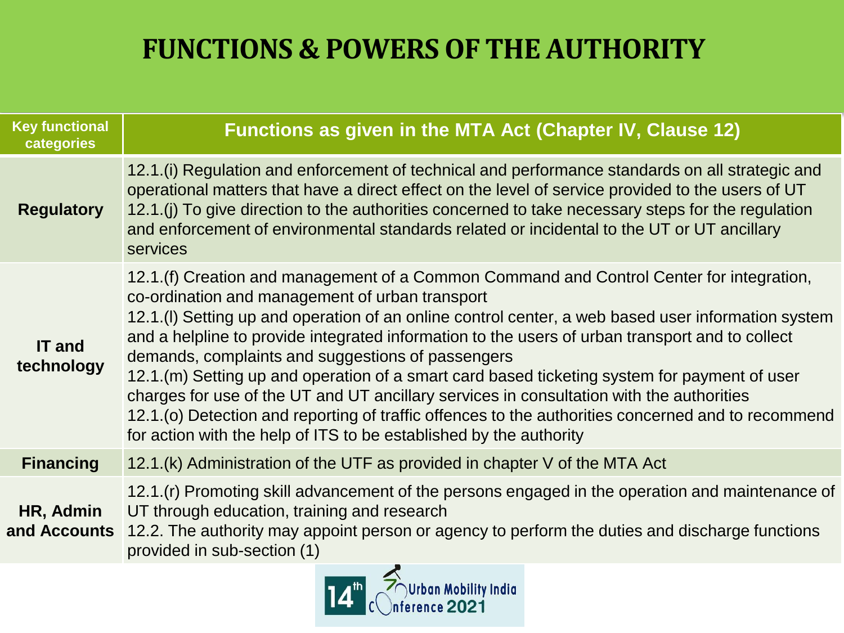## **FUNCTIONS & POWERS OF THE AUTHORITY**

| <b>Key functional</b><br>categories | Functions as given in the MTA Act (Chapter IV, Clause 12)                                                                                                                                                                                                                                                                                                                                                                                                                                                                                                                                                                                                                                                                                                                         |
|-------------------------------------|-----------------------------------------------------------------------------------------------------------------------------------------------------------------------------------------------------------------------------------------------------------------------------------------------------------------------------------------------------------------------------------------------------------------------------------------------------------------------------------------------------------------------------------------------------------------------------------------------------------------------------------------------------------------------------------------------------------------------------------------------------------------------------------|
| <b>Regulatory</b>                   | 12.1.(i) Regulation and enforcement of technical and performance standards on all strategic and<br>operational matters that have a direct effect on the level of service provided to the users of UT<br>12.1.(i) To give direction to the authorities concerned to take necessary steps for the regulation<br>and enforcement of environmental standards related or incidental to the UT or UT ancillary<br>services                                                                                                                                                                                                                                                                                                                                                              |
| <b>IT and</b><br>technology         | 12.1.(f) Creation and management of a Common Command and Control Center for integration,<br>co-ordination and management of urban transport<br>12.1.(I) Setting up and operation of an online control center, a web based user information system<br>and a helpline to provide integrated information to the users of urban transport and to collect<br>demands, complaints and suggestions of passengers<br>12.1.(m) Setting up and operation of a smart card based ticketing system for payment of user<br>charges for use of the UT and UT ancillary services in consultation with the authorities<br>12.1.(o) Detection and reporting of traffic offences to the authorities concerned and to recommend<br>for action with the help of ITS to be established by the authority |
| <b>Financing</b>                    | 12.1.(k) Administration of the UTF as provided in chapter V of the MTA Act                                                                                                                                                                                                                                                                                                                                                                                                                                                                                                                                                                                                                                                                                                        |
| HR, Admin<br>and Accounts           | 12.1.(r) Promoting skill advancement of the persons engaged in the operation and maintenance of<br>UT through education, training and research<br>12.2. The authority may appoint person or agency to perform the duties and discharge functions<br>provided in sub-section (1)                                                                                                                                                                                                                                                                                                                                                                                                                                                                                                   |

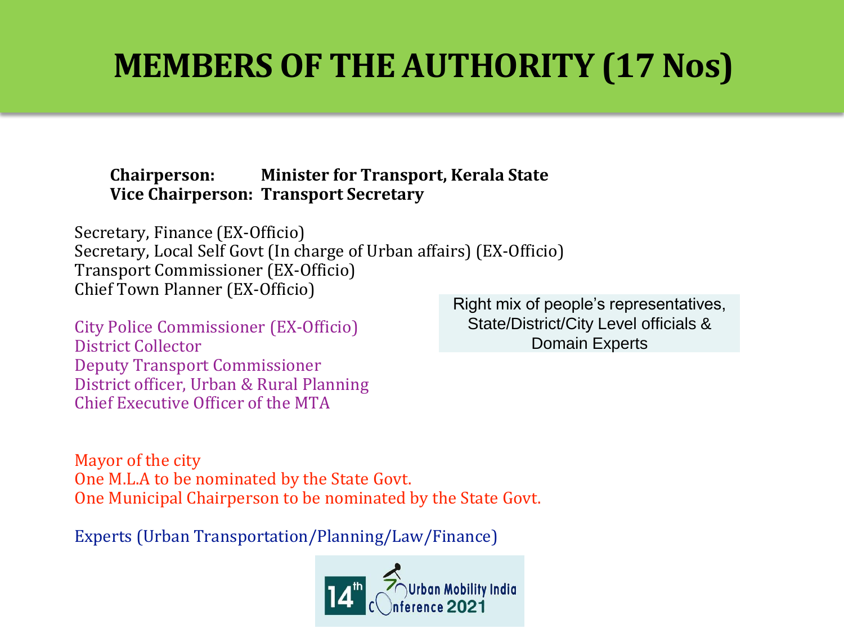# **MEMBERS OF THE AUTHORITY (17 Nos)**

**Chairperson: Minister for Transport, Kerala State Vice Chairperson: Transport Secretary**

Secretary, Finance (EX-Officio) Secretary, Local Self Govt (In charge of Urban affairs) (EX-Officio) Transport Commissioner (EX-Officio) Chief Town Planner (EX-Officio)

City Police Commissioner (EX-Officio) District Collector Deputy Transport Commissioner District officer, Urban & Rural Planning Chief Executive Officer of the MTA

Right mix of people's representatives, State/District/City Level officials & Domain Experts

Mayor of the city One M.L.A to be nominated by the State Govt. One Municipal Chairperson to be nominated by the State Govt.

Experts (Urban Transportation/Planning/Law/Finance)